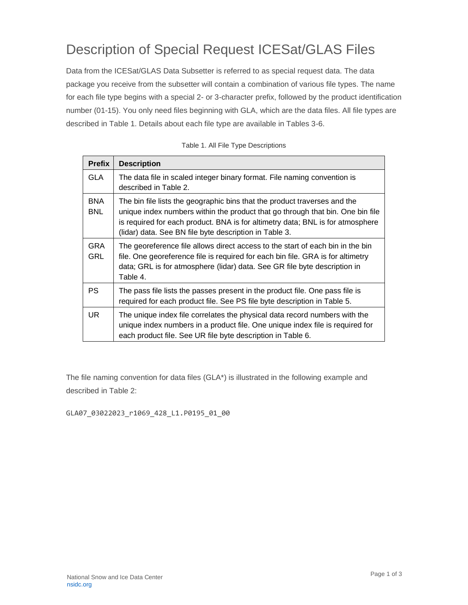## Description of Special Request ICESat/GLAS Files

Data from the ICESat/GLAS Data Subsetter is referred to as special request data. The data package you receive from the subsetter will contain a combination of various file types. The name for each file type begins with a special 2- or 3-character prefix, followed by the product identification number (01-15). You only need files beginning with GLA, which are the data files. All file types are described in Table 1. Details about each file type are available in Tables 3-6.

| <b>Prefix</b>            | <b>Description</b>                                                                                                                                                                                                                                                                                      |
|--------------------------|---------------------------------------------------------------------------------------------------------------------------------------------------------------------------------------------------------------------------------------------------------------------------------------------------------|
| <b>GLA</b>               | The data file in scaled integer binary format. File naming convention is<br>described in Table 2.                                                                                                                                                                                                       |
| <b>BNA</b><br><b>BNL</b> | The bin file lists the geographic bins that the product traverses and the<br>unique index numbers within the product that go through that bin. One bin file<br>is required for each product. BNA is for altimetry data; BNL is for atmosphere<br>(lidar) data. See BN file byte description in Table 3. |
| <b>GRA</b><br><b>GRL</b> | The georeference file allows direct access to the start of each bin in the bin<br>file. One georeference file is required for each bin file. GRA is for altimetry<br>data; GRL is for atmosphere (lidar) data. See GR file byte description in<br>Table 4.                                              |
| <b>PS</b>                | The pass file lists the passes present in the product file. One pass file is<br>required for each product file. See PS file byte description in Table 5.                                                                                                                                                |
| <b>UR</b>                | The unique index file correlates the physical data record numbers with the<br>unique index numbers in a product file. One unique index file is required for<br>each product file. See UR file byte description in Table 6.                                                                              |

Table 1. All File Type Descriptions

The file naming convention for data files (GLA\*) is illustrated in the following example and described in Table 2:

GLA07\_03022023\_r1069\_428\_L1.P0195\_01\_00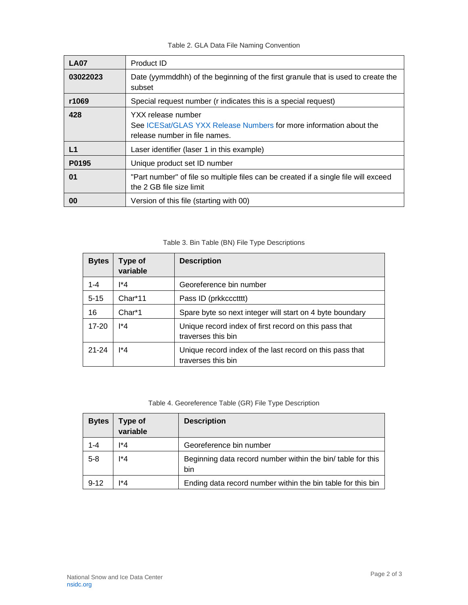## Table 2. GLA Data File Naming Convention

| <b>LA07</b> | Product ID                                                                                                                |
|-------------|---------------------------------------------------------------------------------------------------------------------------|
| 03022023    | Date (yymmddhh) of the beginning of the first granule that is used to create the<br>subset                                |
| r1069       | Special request number (r indicates this is a special request)                                                            |
| 428         | YXX release number<br>See ICESat/GLAS YXX Release Numbers for more information about the<br>release number in file names. |
| L1          | Laser identifier (laser 1 in this example)                                                                                |
| P0195       | Unique product set ID number                                                                                              |
| 01          | "Part number" of file so multiple files can be created if a single file will exceed<br>the 2 GB file size limit           |
| 00          | Version of this file (starting with 00)                                                                                   |

## Table 3. Bin Table (BN) File Type Descriptions

| <b>Bytes</b> | Type of<br>variable | <b>Description</b>                                                             |
|--------------|---------------------|--------------------------------------------------------------------------------|
| $1 - 4$      | l*4                 | Georeference bin number                                                        |
| $5 - 15$     | Char*11             | Pass ID (prkkccctttt)                                                          |
| 16           | Char <sup>*</sup> 1 | Spare byte so next integer will start on 4 byte boundary                       |
| $17 - 20$    | l*4                 | Unique record index of first record on this pass that<br>traverses this bin    |
| $21 - 24$    | l*4                 | Unique record index of the last record on this pass that<br>traverses this bin |

## Table 4. Georeference Table (GR) File Type Description

| <b>Bytes</b> | Type of<br>variable | <b>Description</b>                                                 |
|--------------|---------------------|--------------------------------------------------------------------|
| $1 - 4$      | $\mathsf{I}^*4$     | Georeference bin number                                            |
| $5 - 8$      | 1*4                 | Beginning data record number within the bin/ table for this<br>bin |
| $9 - 12$     | l*4                 | Ending data record number within the bin table for this bin        |